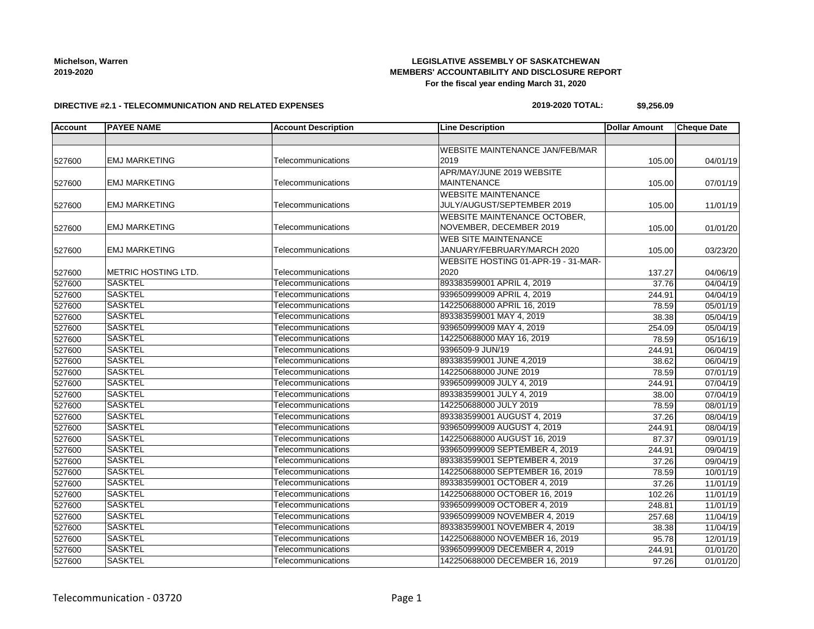## **LEGISLATIVE ASSEMBLY OF SASKATCHEWAN MEMBERS' ACCOUNTABILITY AND DISCLOSURE REPORT For the fiscal year ending March 31, 2020**

#### **DIRECTIVE #2.1 - TELECOMMUNICATION AND RELATED EXPENSES**

### **2019-2020 TOTAL: \$9,256.09**

| <b>Account</b> | <b>PAYEE NAME</b>           | <b>Account Description</b> | <b>Line Description</b>                | <b>Dollar Amount</b> | <b>Cheque Date</b> |
|----------------|-----------------------------|----------------------------|----------------------------------------|----------------------|--------------------|
|                |                             |                            |                                        |                      |                    |
|                |                             |                            | <b>WEBSITE MAINTENANCE JAN/FEB/MAR</b> |                      |                    |
| 527600         | <b>EMJ MARKETING</b>        | Telecommunications         | 2019                                   | 105.00               | 04/01/19           |
|                |                             |                            | APR/MAY/JUNE 2019 WEBSITE              |                      |                    |
| 527600         | <b>EMJ MARKETING</b>        | Telecommunications         | <b>MAINTENANCE</b>                     | 105.00               | 07/01/19           |
|                |                             |                            | <b>WEBSITE MAINTENANCE</b>             |                      |                    |
| 527600         | <b>EMJ MARKETING</b>        | Telecommunications         | JULY/AUGUST/SEPTEMBER 2019             | 105.00               | 11/01/19           |
|                |                             |                            | WEBSITE MAINTENANCE OCTOBER,           |                      |                    |
| 527600         | <b>EMJ MARKETING</b>        | Telecommunications         | NOVEMBER, DECEMBER 2019                | 105.00               | 01/01/20           |
|                |                             |                            | <b>WEB SITE MAINTENANCE</b>            |                      |                    |
| 527600         | <b>EMJ MARKETING</b>        | Telecommunications         | JANUARY/FEBRUARY/MARCH 2020            | 105.00               | 03/23/20           |
|                |                             |                            | WEBSITE HOSTING 01-APR-19 - 31-MAR-    |                      |                    |
| 527600         | <b>IMETRIC HOSTING LTD.</b> | Telecommunications         | 2020                                   | 137.27               | 04/06/19           |
| 527600         | <b>SASKTEL</b>              | Telecommunications         | 893383599001 APRIL 4, 2019             | 37.76                | 04/04/19           |
| 527600         | <b>SASKTEL</b>              | Telecommunications         | 939650999009 APRIL 4, 2019             | 244.91               | 04/04/19           |
| 527600         | <b>SASKTEL</b>              | Telecommunications         | 142250688000 APRIL 16, 2019            | 78.59                | 05/01/19           |
| 527600         | <b>SASKTEL</b>              | Telecommunications         | 893383599001 MAY 4, 2019               | 38.38                | 05/04/19           |
| 527600         | <b>SASKTEL</b>              | Telecommunications         | 939650999009 MAY 4, 2019               | 254.09               | 05/04/19           |
| 527600         | <b>SASKTEL</b>              | Telecommunications         | 142250688000 MAY 16, 2019              | 78.59                | 05/16/19           |
| 527600         | <b>SASKTEL</b>              | Telecommunications         | 9396509-9 JUN/19                       | 244.91               | 06/04/19           |
| 527600         | <b>SASKTEL</b>              | Telecommunications         | 893383599001 JUNE 4,2019               | 38.62                | 06/04/19           |
| 527600         | <b>SASKTEL</b>              | Telecommunications         | 142250688000 JUNE 2019                 | 78.59                | 07/01/19           |
| 527600         | <b>SASKTEL</b>              | Telecommunications         | 939650999009 JULY 4, 2019              | 244.91               | 07/04/19           |
| 527600         | <b>SASKTEL</b>              | Telecommunications         | 893383599001 JULY 4, 2019              | 38.00                | 07/04/19           |
| 527600         | <b>SASKTEL</b>              | Telecommunications         | 142250688000 JULY 2019                 | 78.59                | 08/01/19           |
| 527600         | <b>SASKTEL</b>              | Telecommunications         | 893383599001 AUGUST 4, 2019            | 37.26                | 08/04/19           |
| 527600         | <b>SASKTEL</b>              | Telecommunications         | 939650999009 AUGUST 4, 2019            | 244.91               | 08/04/19           |
| 527600         | <b>SASKTEL</b>              | Telecommunications         | 142250688000 AUGUST 16, 2019           | 87.37                | 09/01/19           |
| 527600         | <b>SASKTEL</b>              | Telecommunications         | 939650999009 SEPTEMBER 4, 2019         | 244.91               | 09/04/19           |
| 527600         | <b>SASKTEL</b>              | Telecommunications         | 893383599001 SEPTEMBER 4, 2019         | 37.26                | 09/04/19           |
| 527600         | <b>SASKTEL</b>              | Telecommunications         | 142250688000 SEPTEMBER 16, 2019        | 78.59                | 10/01/19           |
| 527600         | <b>SASKTEL</b>              | Telecommunications         | 893383599001 OCTOBER 4, 2019           | 37.26                | 11/01/19           |
| 527600         | <b>SASKTEL</b>              | Telecommunications         | 142250688000 OCTOBER 16, 2019          | 102.26               | 11/01/19           |
| 527600         | <b>SASKTEL</b>              | Telecommunications         | 939650999009 OCTOBER 4, 2019           | 248.81               | 11/01/19           |
| 527600         | <b>SASKTEL</b>              | Telecommunications         | 939650999009 NOVEMBER 4, 2019          | 257.68               | 11/04/19           |
| 527600         | <b>SASKTEL</b>              | Telecommunications         | 893383599001 NOVEMBER 4, 2019          | 38.38                | 11/04/19           |
| 527600         | <b>SASKTEL</b>              | Telecommunications         | 142250688000 NOVEMBER 16, 2019         | 95.78                | 12/01/19           |
| 527600         | <b>SASKTEL</b>              | Telecommunications         | 939650999009 DECEMBER 4, 2019          | 244.91               | 01/01/20           |
| 527600         | <b>SASKTEL</b>              | Telecommunications         | 142250688000 DECEMBER 16, 2019         | 97.26                | 01/01/20           |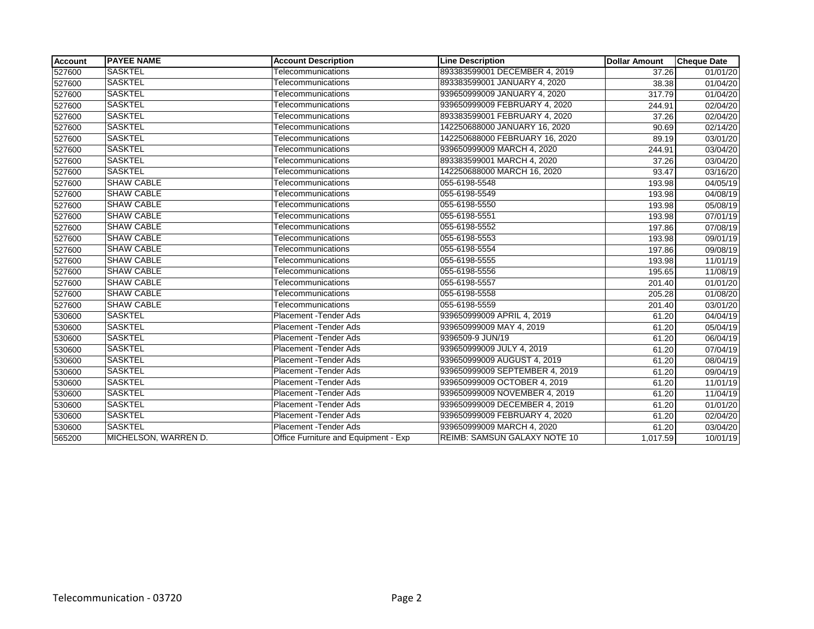| <b>Account</b> | <b>PAYEE NAME</b>    | <b>Account Description</b>           | <b>Line Description</b>             | <b>Dollar Amount</b> | <b>Cheque Date</b>    |
|----------------|----------------------|--------------------------------------|-------------------------------------|----------------------|-----------------------|
| 527600         | <b>SASKTEL</b>       | Telecommunications                   | 893383599001 DECEMBER 4, 2019       | 37.26                | 01/01/20              |
| 527600         | <b>SASKTEL</b>       | Telecommunications                   | 893383599001 JANUARY 4, 2020        | 38.38                | 01/04/20              |
| 527600         | <b>SASKTEL</b>       | Telecommunications                   | 939650999009 JANUARY 4, 2020        | 317.79               | $\overline{01}/04/20$ |
| 527600         | <b>SASKTEL</b>       | Telecommunications                   | 939650999009 FEBRUARY 4, 2020       | 244.91               | 02/04/20              |
| 527600         | <b>SASKTEL</b>       | Telecommunications                   | 893383599001 FEBRUARY 4, 2020       | 37.26                | 02/04/20              |
| 527600         | <b>SASKTEL</b>       | Telecommunications                   | 142250688000 JANUARY 16, 2020       | 90.69                | 02/14/20              |
| 527600         | <b>SASKTEL</b>       | Telecommunications                   | 142250688000 FEBRUARY 16, 2020      | 89.19                | 03/01/20              |
| 527600         | SASKTEL              | Telecommunications                   | 939650999009 MARCH 4, 2020          | 244.91               | 03/04/20              |
| 527600         | <b>SASKTEL</b>       | Telecommunications                   | 893383599001 MARCH 4, 2020          | 37.26                | 03/04/20              |
| 527600         | <b>SASKTEL</b>       | Telecommunications                   | 142250688000 MARCH 16, 2020         | 93.47                | 03/16/20              |
| 527600         | <b>SHAW CABLE</b>    | Telecommunications                   | 055-6198-5548                       | 193.98               | 04/05/19              |
| 527600         | <b>SHAW CABLE</b>    | Telecommunications                   | 055-6198-5549                       | 193.98               | 04/08/19              |
| 527600         | <b>SHAW CABLE</b>    | Telecommunications                   | 055-6198-5550                       | 193.98               | 05/08/19              |
| 527600         | <b>SHAW CABLE</b>    | Telecommunications                   | 055-6198-5551                       | 193.98               | 07/01/19              |
| 527600         | <b>SHAW CABLE</b>    | Telecommunications                   | 055-6198-5552                       | 197.86               | 07/08/19              |
| 527600         | <b>SHAW CABLE</b>    | Telecommunications                   | 055-6198-5553                       | 193.98               | 09/01/19              |
| 527600         | <b>SHAW CABLE</b>    | Telecommunications                   | 055-6198-5554                       | 197.86               | 09/08/19              |
| 527600         | <b>SHAW CABLE</b>    | Telecommunications                   | 055-6198-5555                       | 193.98               | 11/01/19              |
| 527600         | <b>SHAW CABLE</b>    | Telecommunications                   | 055-6198-5556                       | 195.65               | 11/08/19              |
| 527600         | <b>SHAW CABLE</b>    | Telecommunications                   | 055-6198-5557                       | 201.40               | 01/01/20              |
| 527600         | <b>SHAW CABLE</b>    | Telecommunications                   | 055-6198-5558                       | 205.28               | 01/08/20              |
| 527600         | <b>SHAW CABLE</b>    | Telecommunications                   | 055-6198-5559                       | 201.40               | 03/01/20              |
| 530600         | SASKTEL              | <b>Placement - Tender Ads</b>        | 939650999009 APRIL 4, 2019          | 61.20                | 04/04/19              |
| 530600         | <b>SASKTEL</b>       | Placement - Tender Ads               | 939650999009 MAY 4, 2019            | 61.20                | 05/04/19              |
| 530600         | SASKTEL              | Placement - Tender Ads               | 9396509-9 JUN/19                    | 61.20                | 06/04/19              |
| 530600         | <b>SASKTEL</b>       | Placement - Tender Ads               | 939650999009 JULY 4, 2019           | 61.20                | 07/04/19              |
| 530600         | <b>SASKTEL</b>       | Placement - Tender Ads               | 939650999009 AUGUST 4, 2019         | 61.20                | 08/04/19              |
| 530600         | SASKTEL              | Placement - Tender Ads               | 939650999009 SEPTEMBER 4, 2019      | 61.20                | 09/04/19              |
| 530600         | <b>SASKTEL</b>       | Placement - Tender Ads               | 939650999009 OCTOBER 4, 2019        | 61.20                | 11/01/19              |
| 530600         | <b>SASKTEL</b>       | <b>Placement - Tender Ads</b>        | 939650999009 NOVEMBER 4, 2019       | 61.20                | 11/04/19              |
| 530600         | <b>SASKTEL</b>       | Placement - Tender Ads               | 939650999009 DECEMBER 4, 2019       | 61.20                | 01/01/20              |
| 530600         | SASKTEL              | Placement - Tender Ads               | 939650999009 FEBRUARY 4, 2020       | 61.20                | 02/04/20              |
| 530600         | <b>SASKTEL</b>       | Placement - Tender Ads               | 939650999009 MARCH 4, 2020          | 61.20                | 03/04/20              |
| 565200         | MICHELSON, WARREN D. | Office Furniture and Equipment - Exp | <b>REIMB: SAMSUN GALAXY NOTE 10</b> | 1.017.59             | 10/01/19              |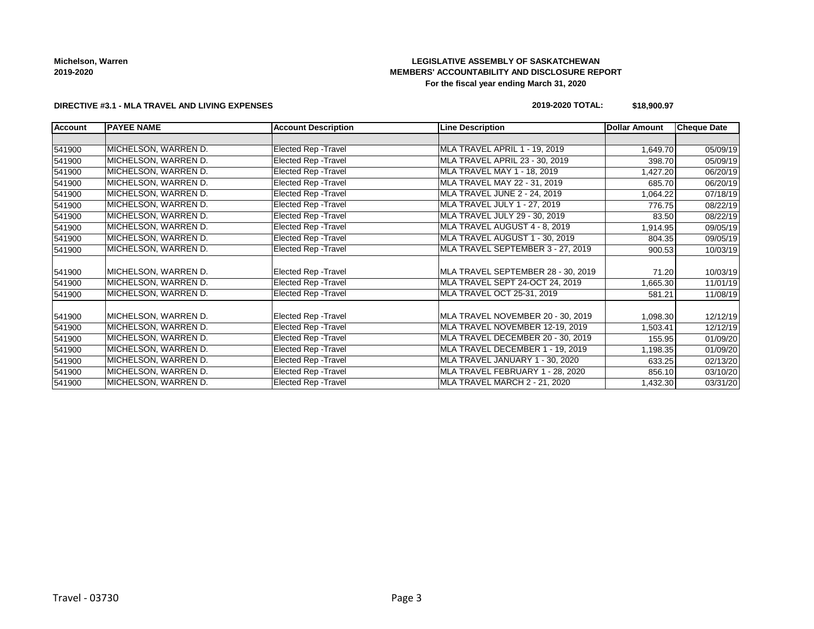## **LEGISLATIVE ASSEMBLY OF SASKATCHEWAN MEMBERS' ACCOUNTABILITY AND DISCLOSURE REPORT For the fiscal year ending March 31, 2020**

### **DIRECTIVE #3.1 - MLA TRAVEL AND LIVING EXPENSES**

### **2019-2020 TOTAL: \$18,900.97**

| <b>Account</b> | <b>PAYEE NAME</b>    | <b>Account Description</b>  | <b>Line Description</b>            | <b>Dollar Amount</b> | <b>Cheque Date</b> |
|----------------|----------------------|-----------------------------|------------------------------------|----------------------|--------------------|
|                |                      |                             |                                    |                      |                    |
| 541900         | MICHELSON, WARREN D. | <b>Elected Rep - Travel</b> | MLA TRAVEL APRIL 1 - 19, 2019      | 1,649.70             | 05/09/19           |
| 541900         | MICHELSON, WARREN D. | <b>Elected Rep - Travel</b> | MLA TRAVEL APRIL 23 - 30, 2019     | 398.70               | 05/09/19           |
| 541900         | MICHELSON, WARREN D. | <b>Elected Rep - Travel</b> | MLA TRAVEL MAY 1 - 18, 2019        | 1,427.20             | 06/20/19           |
| 541900         | MICHELSON, WARREN D. | <b>Elected Rep - Travel</b> | MLA TRAVEL MAY 22 - 31, 2019       | 685.70               | 06/20/19           |
| 541900         | MICHELSON, WARREN D. | <b>Elected Rep - Travel</b> | MLA TRAVEL JUNE 2 - 24, 2019       | 1,064.22             | 07/18/19           |
| 541900         | MICHELSON, WARREN D. | <b>Elected Rep - Travel</b> | MLA TRAVEL JULY 1 - 27, 2019       | 776.75               | 08/22/19           |
| 541900         | MICHELSON, WARREN D. | <b>Elected Rep - Travel</b> | MLA TRAVEL JULY 29 - 30, 2019      | 83.50                | 08/22/19           |
| 541900         | MICHELSON, WARREN D. | <b>Elected Rep - Travel</b> | MLA TRAVEL AUGUST 4 - 8, 2019      | 1,914.95             | 09/05/19           |
| 541900         | MICHELSON, WARREN D. | <b>Elected Rep - Travel</b> | MLA TRAVEL AUGUST 1 - 30, 2019     | 804.35               | 09/05/19           |
| 541900         | MICHELSON, WARREN D. | Elected Rep - Travel        | MLA TRAVEL SEPTEMBER 3 - 27, 2019  | 900.53               | 10/03/19           |
|                |                      |                             |                                    |                      |                    |
| 541900         | MICHELSON, WARREN D. | <b>Elected Rep - Travel</b> | MLA TRAVEL SEPTEMBER 28 - 30, 2019 | 71.20                | 10/03/19           |
| 541900         | MICHELSON, WARREN D. | <b>Elected Rep - Travel</b> | MLA TRAVEL SEPT 24-OCT 24, 2019    | 1,665.30             | 11/01/19           |
| 541900         | MICHELSON, WARREN D. | <b>Elected Rep - Travel</b> | MLA TRAVEL OCT 25-31, 2019         | 581.21               | 11/08/19           |
|                |                      |                             |                                    |                      |                    |
| 541900         | MICHELSON, WARREN D. | <b>Elected Rep - Travel</b> | MLA TRAVEL NOVEMBER 20 - 30, 2019  | 1,098.30             | 12/12/19           |
| 541900         | MICHELSON, WARREN D. | Elected Rep - Travel        | MLA TRAVEL NOVEMBER 12-19, 2019    | 1,503.41             | 12/12/19           |
| 541900         | MICHELSON, WARREN D. | <b>Elected Rep - Travel</b> | MLA TRAVEL DECEMBER 20 - 30, 2019  | 155.95               | 01/09/20           |
| 541900         | MICHELSON, WARREN D. | <b>Elected Rep - Travel</b> | MLA TRAVEL DECEMBER 1 - 19, 2019   | 1,198.35             | 01/09/20           |
| 541900         | MICHELSON, WARREN D. | <b>Elected Rep - Travel</b> | MLA TRAVEL JANUARY 1 - 30, 2020    | 633.25               | 02/13/20           |
| 541900         | MICHELSON, WARREN D. | <b>Elected Rep - Travel</b> | MLA TRAVEL FEBRUARY 1 - 28, 2020   | 856.10               | 03/10/20           |
| 541900         | MICHELSON, WARREN D. | <b>Elected Rep - Travel</b> | MLA TRAVEL MARCH 2 - 21, 2020      | 1,432.30             | 03/31/20           |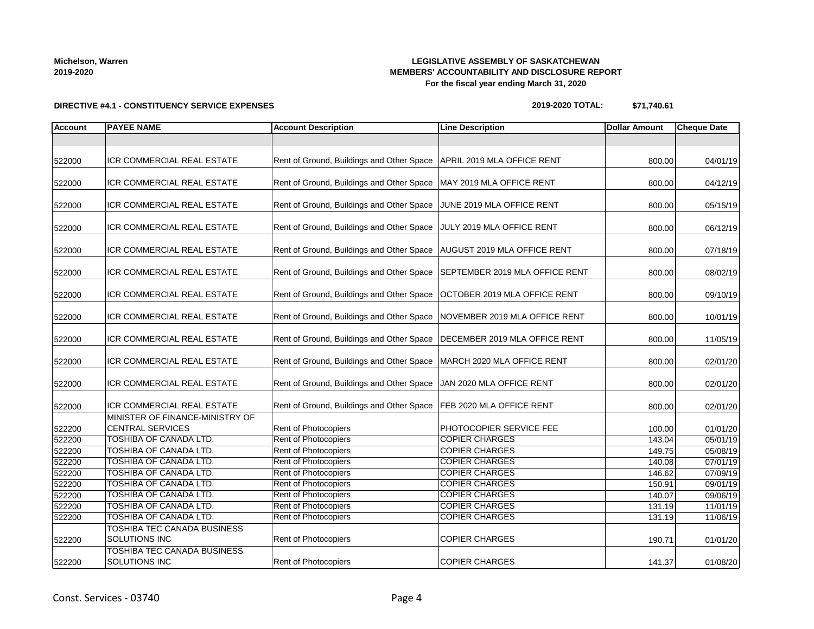## **LEGISLATIVE ASSEMBLY OF SASKATCHEWAN MEMBERS' ACCOUNTABILITY AND DISCLOSURE REPORT For the fiscal year ending March 31, 2020**

**DIRECTIVE #4.1 - CONSTITUENCY SERVICE EXPENSES**

## **2019-2020 TOTAL: \$71,740.61**

| <b>Account</b> | <b>PAYEE NAME</b>                                          | <b>Account Description</b>                                                | <b>Line Description</b>        | <b>Dollar Amount</b> | <b>Cheque Date</b> |
|----------------|------------------------------------------------------------|---------------------------------------------------------------------------|--------------------------------|----------------------|--------------------|
|                |                                                            |                                                                           |                                |                      |                    |
| 522000         | ICR COMMERCIAL REAL ESTATE                                 | Rent of Ground, Buildings and Other Space   APRIL 2019 MLA OFFICE RENT    |                                | 800.00               | 04/01/19           |
| 522000         | ICR COMMERCIAL REAL ESTATE                                 | Rent of Ground, Buildings and Other Space   MAY 2019 MLA OFFICE RENT      |                                | 800.00               | 04/12/19           |
| 522000         | ICR COMMERCIAL REAL ESTATE                                 | Rent of Ground, Buildings and Other Space JUNE 2019 MLA OFFICE RENT       |                                | 800.00               | 05/15/19           |
| 522000         | ICR COMMERCIAL REAL ESTATE                                 | Rent of Ground, Buildings and Other Space JULY 2019 MLA OFFICE RENT       |                                | 800.00               | 06/12/19           |
| 522000         | <b>ICR COMMERCIAL REAL ESTATE</b>                          | Rent of Ground, Buildings and Other Space   AUGUST 2019 MLA OFFICE RENT   |                                | 800.00               | 07/18/19           |
| 522000         | ICR COMMERCIAL REAL ESTATE                                 | Rent of Ground, Buildings and Other Space SEPTEMBER 2019 MLA OFFICE RENT  |                                | 800.00               | 08/02/19           |
| 522000         | <b>ICR COMMERCIAL REAL ESTATE</b>                          | Rent of Ground, Buildings and Other Space   OCTOBER 2019 MLA OFFICE RENT  |                                | 800.00               | 09/10/19           |
| 522000         | ICR COMMERCIAL REAL ESTATE                                 | Rent of Ground, Buildings and Other Space NOVEMBER 2019 MLA OFFICE RENT   |                                | 800.00               | 10/01/19           |
| 522000         | ICR COMMERCIAL REAL ESTATE                                 | Rent of Ground, Buildings and Other Space   DECEMBER 2019 MLA OFFICE RENT |                                | 800.00               | 11/05/19           |
| 522000         | ICR COMMERCIAL REAL ESTATE                                 | Rent of Ground, Buildings and Other Space   MARCH 2020 MLA OFFICE RENT    |                                | 800.00               | 02/01/20           |
| 522000         | ICR COMMERCIAL REAL ESTATE                                 | Rent of Ground, Buildings and Other Space   JAN 2020 MLA OFFICE RENT      |                                | 800.00               | 02/01/20           |
| 522000         | ICR COMMERCIAL REAL ESTATE                                 | Rent of Ground, Buildings and Other Space   FEB 2020 MLA OFFICE RENT      |                                | 800.00               | 02/01/20           |
| 522200         | MINISTER OF FINANCE-MINISTRY OF<br><b>CENTRAL SERVICES</b> | <b>Rent of Photocopiers</b>                                               | <b>PHOTOCOPIER SERVICE FEE</b> | 100.00               | 01/01/20           |
| 522200         | TOSHIBA OF CANADA LTD.                                     | Rent of Photocopiers                                                      | <b>COPIER CHARGES</b>          | 143.04               | 05/01/19           |
| 522200         | <b>TOSHIBA OF CANADA LTD.</b>                              | Rent of Photocopiers                                                      | <b>COPIER CHARGES</b>          | 149.75               | 05/08/19           |
| 522200         | TOSHIBA OF CANADA LTD.                                     | Rent of Photocopiers                                                      | <b>COPIER CHARGES</b>          | 140.08               | 07/01/19           |
| 522200         | TOSHIBA OF CANADA LTD.                                     | Rent of Photocopiers                                                      | <b>COPIER CHARGES</b>          | 146.62               | 07/09/19           |
| 522200         | TOSHIBA OF CANADA LTD.                                     | Rent of Photocopiers                                                      | <b>COPIER CHARGES</b>          | 150.91               | 09/01/19           |
| 522200         | <b>TOSHIBA OF CANADA LTD.</b>                              | <b>Rent of Photocopiers</b>                                               | <b>COPIER CHARGES</b>          | 140.07               | 09/06/19           |
| 522200         | <b>TOSHIBA OF CANADA LTD.</b>                              | Rent of Photocopiers                                                      | <b>COPIER CHARGES</b>          | 131.19               | 11/01/19           |
| 522200         | <b>TOSHIBA OF CANADA LTD.</b>                              | <b>Rent of Photocopiers</b>                                               | <b>COPIER CHARGES</b>          | 131.19               | 11/06/19           |
| 522200         | TOSHIBA TEC CANADA BUSINESS<br><b>SOLUTIONS INC</b>        | Rent of Photocopiers                                                      | COPIER CHARGES                 | 190.71               | 01/01/20           |
| 522200         | TOSHIBA TEC CANADA BUSINESS<br><b>SOLUTIONS INC</b>        | <b>Rent of Photocopiers</b>                                               | <b>COPIER CHARGES</b>          | 141.37               | 01/08/20           |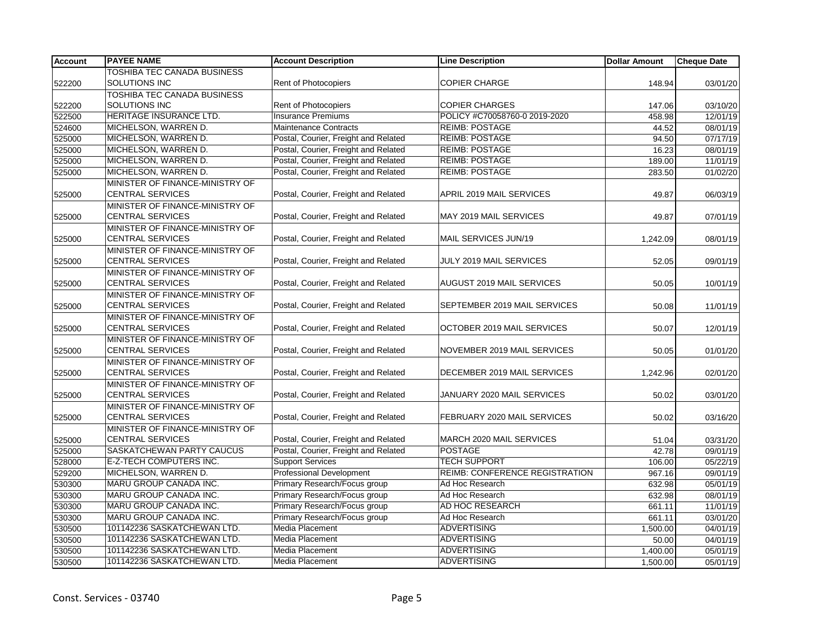| <b>Account</b> | <b>PAYEE NAME</b>                  | <b>Account Description</b>           | <b>Line Description</b>               | <b>Dollar Amount</b> | Cheque Date |
|----------------|------------------------------------|--------------------------------------|---------------------------------------|----------------------|-------------|
|                | TOSHIBA TEC CANADA BUSINESS        |                                      |                                       |                      |             |
| 522200         | SOLUTIONS INC                      | Rent of Photocopiers                 | <b>COPIER CHARGE</b>                  | 148.94               | 03/01/20    |
|                | <b>TOSHIBA TEC CANADA BUSINESS</b> |                                      |                                       |                      |             |
| 522200         | SOLUTIONS INC                      | <b>Rent of Photocopiers</b>          | <b>COPIER CHARGES</b>                 | 147.06               | 03/10/20    |
| 522500         | HERITAGE INSURANCE LTD.            | <b>Insurance Premiums</b>            | POLICY #C70058760-0 2019-2020         | 458.98               | 12/01/19    |
| 524600         | MICHELSON, WARREN D.               | <b>Maintenance Contracts</b>         | <b>REIMB: POSTAGE</b>                 | 44.52                | 08/01/19    |
| 525000         | MICHELSON, WARREN D.               | Postal, Courier, Freight and Related | <b>REIMB: POSTAGE</b>                 | 94.50                | 07/17/19    |
| 525000         | MICHELSON, WARREN D.               | Postal, Courier, Freight and Related | <b>REIMB: POSTAGE</b>                 | 16.23                | 08/01/19    |
| 525000         | MICHELSON, WARREN D.               | Postal, Courier, Freight and Related | <b>REIMB: POSTAGE</b>                 | 189.00               | 11/01/19    |
| 525000         | MICHELSON, WARREN D.               | Postal, Courier, Freight and Related | <b>REIMB: POSTAGE</b>                 | 283.50               | 01/02/20    |
|                | MINISTER OF FINANCE-MINISTRY OF    |                                      |                                       |                      |             |
| 525000         | <b>CENTRAL SERVICES</b>            | Postal, Courier, Freight and Related | APRIL 2019 MAIL SERVICES              | 49.87                | 06/03/19    |
|                | MINISTER OF FINANCE-MINISTRY OF    |                                      |                                       |                      |             |
| 525000         | <b>CENTRAL SERVICES</b>            | Postal, Courier, Freight and Related | MAY 2019 MAIL SERVICES                | 49.87                | 07/01/19    |
|                | MINISTER OF FINANCE-MINISTRY OF    |                                      |                                       |                      |             |
| 525000         | <b>CENTRAL SERVICES</b>            | Postal, Courier, Freight and Related | MAIL SERVICES JUN/19                  | 1,242.09             | 08/01/19    |
|                | MINISTER OF FINANCE-MINISTRY OF    |                                      |                                       |                      |             |
| 525000         | <b>CENTRAL SERVICES</b>            | Postal, Courier, Freight and Related | JULY 2019 MAIL SERVICES               | 52.05                | 09/01/19    |
|                | MINISTER OF FINANCE-MINISTRY OF    |                                      |                                       |                      |             |
| 525000         | <b>CENTRAL SERVICES</b>            | Postal, Courier, Freight and Related | AUGUST 2019 MAIL SERVICES             | 50.05                | 10/01/19    |
|                | MINISTER OF FINANCE-MINISTRY OF    |                                      |                                       |                      |             |
| 525000         | <b>CENTRAL SERVICES</b>            | Postal, Courier, Freight and Related | SEPTEMBER 2019 MAIL SERVICES          | 50.08                | 11/01/19    |
|                | MINISTER OF FINANCE-MINISTRY OF    |                                      |                                       |                      |             |
| 525000         | <b>CENTRAL SERVICES</b>            | Postal, Courier, Freight and Related | OCTOBER 2019 MAIL SERVICES            | 50.07                | 12/01/19    |
|                | MINISTER OF FINANCE-MINISTRY OF    |                                      |                                       |                      |             |
| 525000         | <b>CENTRAL SERVICES</b>            | Postal, Courier, Freight and Related | NOVEMBER 2019 MAIL SERVICES           | 50.05                | 01/01/20    |
|                | MINISTER OF FINANCE-MINISTRY OF    |                                      |                                       |                      |             |
| 525000         | <b>CENTRAL SERVICES</b>            | Postal, Courier, Freight and Related | DECEMBER 2019 MAIL SERVICES           | 1,242.96             | 02/01/20    |
|                | MINISTER OF FINANCE-MINISTRY OF    |                                      |                                       |                      |             |
| 525000         | <b>CENTRAL SERVICES</b>            | Postal, Courier, Freight and Related | JANUARY 2020 MAIL SERVICES            | 50.02                | 03/01/20    |
|                | MINISTER OF FINANCE-MINISTRY OF    |                                      |                                       |                      |             |
| 525000         | <b>CENTRAL SERVICES</b>            | Postal, Courier, Freight and Related | FEBRUARY 2020 MAIL SERVICES           | 50.02                | 03/16/20    |
|                | MINISTER OF FINANCE-MINISTRY OF    |                                      |                                       |                      |             |
| 525000         | <b>CENTRAL SERVICES</b>            | Postal, Courier, Freight and Related | MARCH 2020 MAIL SERVICES              | 51.04                | 03/31/20    |
| 525000         | SASKATCHEWAN PARTY CAUCUS          | Postal, Courier, Freight and Related | <b>POSTAGE</b>                        | 42.78                | 09/01/19    |
| 528000         | E-Z-TECH COMPUTERS INC.            | <b>Support Services</b>              | <b>TECH SUPPORT</b>                   | 106.00               | 05/22/19    |
| 529200         | MICHELSON, WARREN D.               | <b>Professional Development</b>      | <b>REIMB: CONFERENCE REGISTRATION</b> | 967.16               | 09/01/19    |
| 530300         | MARU GROUP CANADA INC.             | Primary Research/Focus group         | Ad Hoc Research                       | 632.98               | 05/01/19    |
| 530300         | MARU GROUP CANADA INC.             | Primary Research/Focus group         | Ad Hoc Research                       | 632.98               | 08/01/19    |
| 530300         | MARU GROUP CANADA INC.             | Primary Research/Focus group         | AD HOC RESEARCH                       | 661.11               | 11/01/19    |
| 530300         | MARU GROUP CANADA INC.             | Primary Research/Focus group         | Ad Hoc Research                       | 661.11               | 03/01/20    |
| 530500         | 101142236 SASKATCHEWAN LTD.        | Media Placement                      | <b>ADVERTISING</b>                    | 1,500.00             | 04/01/19    |
| 530500         | 101142236 SASKATCHEWAN LTD.        | Media Placement                      | <b>ADVERTISING</b>                    | 50.00                | 04/01/19    |
| 530500         | 101142236 SASKATCHEWAN LTD.        | Media Placement                      | <b>ADVERTISING</b>                    | 1,400.00             | 05/01/19    |
| 530500         | 101142236 SASKATCHEWAN LTD.        | Media Placement                      | <b>ADVERTISING</b>                    | 1,500.00             | 05/01/19    |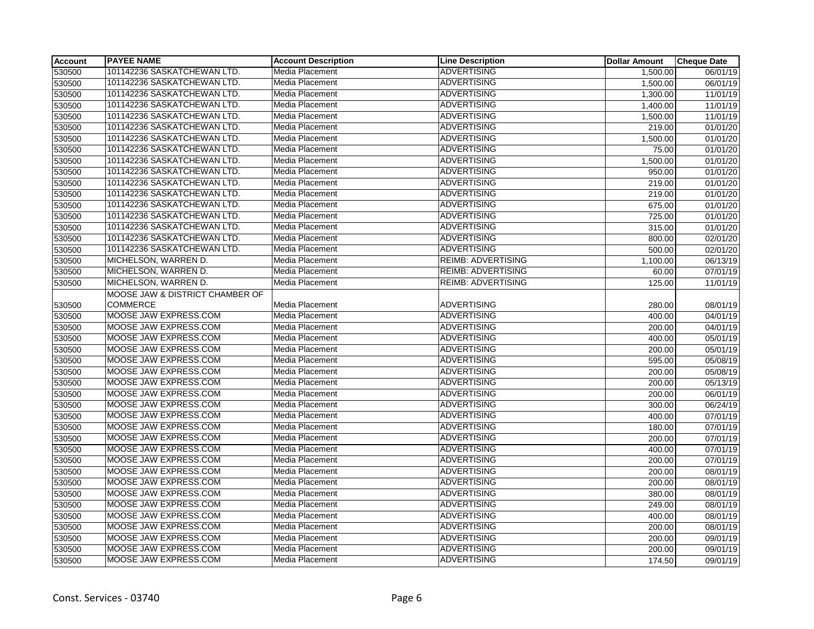| <b>Account</b> | <b>PAYEE NAME</b>               | <b>Account Description</b> | <b>Line Description</b>   | <b>Dollar Amount</b>  | <b>Cheque Date</b>    |
|----------------|---------------------------------|----------------------------|---------------------------|-----------------------|-----------------------|
| 530500         | 101142236 SASKATCHEWAN LTD.     | Media Placement            | <b>ADVERTISING</b>        | $\overline{1,}500.00$ | 06/01/19              |
| 530500         | 101142236 SASKATCHEWAN LTD.     | Media Placement            | <b>ADVERTISING</b>        | 1,500.00              | 06/01/19              |
| 530500         | 101142236 SASKATCHEWAN LTD.     | Media Placement            | <b>ADVERTISING</b>        | 1,300.00              | 11/01/19              |
| 530500         | 101142236 SASKATCHEWAN LTD.     | Media Placement            | <b>ADVERTISING</b>        | 1,400.00              | 11/01/19              |
| 530500         | 101142236 SASKATCHEWAN LTD.     | Media Placement            | <b>ADVERTISING</b>        | 1,500.00              | 11/01/19              |
| 530500         | 101142236 SASKATCHEWAN LTD.     | Media Placement            | <b>ADVERTISING</b>        | 219.00                | 01/01/20              |
| 530500         | 101142236 SASKATCHEWAN LTD.     | Media Placement            | <b>ADVERTISING</b>        | 1,500.00              | 01/01/20              |
| 530500         | 101142236 SASKATCHEWAN LTD.     | Media Placement            | <b>ADVERTISING</b>        | 75.00                 | 01/01/20              |
| 530500         | 101142236 SASKATCHEWAN LTD.     | Media Placement            | <b>ADVERTISING</b>        | 1,500.00              | 01/01/20              |
| 530500         | 101142236 SASKATCHEWAN LTD.     | Media Placement            | <b>ADVERTISING</b>        | 950.00                | 01/01/20              |
| 530500         | 101142236 SASKATCHEWAN LTD.     | Media Placement            | <b>ADVERTISING</b>        | 219.00                | 01/01/20              |
| 530500         | 101142236 SASKATCHEWAN LTD.     | Media Placement            | <b>ADVERTISING</b>        | 219.00                | 01/01/20              |
| 530500         | 101142236 SASKATCHEWAN LTD.     | <b>Media Placement</b>     | <b>ADVERTISING</b>        | 675.00                | 01/01/20              |
| 530500         | 101142236 SASKATCHEWAN LTD.     | Media Placement            | <b>ADVERTISING</b>        | 725.00                | 01/01/20              |
| 530500         | 101142236 SASKATCHEWAN LTD.     | Media Placement            | <b>ADVERTISING</b>        | 315.00                | 01/01/20              |
| 530500         | 101142236 SASKATCHEWAN LTD.     | Media Placement            | <b>ADVERTISING</b>        | 800.00                | 02/01/20              |
| 530500         | 101142236 SASKATCHEWAN LTD.     | Media Placement            | <b>ADVERTISING</b>        | 500.00                | 02/01/20              |
| 530500         | MICHELSON, WARREN D.            | Media Placement            | <b>REIMB: ADVERTISING</b> | 1,100.00              | 06/13/19              |
| 530500         | MICHELSON, WARREN D.            | Media Placement            | <b>REIMB: ADVERTISING</b> | 60.00                 | 07/01/19              |
| 530500         | MICHELSON, WARREN D.            | Media Placement            | <b>REIMB: ADVERTISING</b> | 125.00                | 11/01/19              |
|                | MOOSE JAW & DISTRICT CHAMBER OF |                            |                           |                       |                       |
| 530500         | <b>COMMERCE</b>                 | Media Placement            | <b>ADVERTISING</b>        | 280.00                | 08/01/19              |
| 530500         | MOOSE JAW EXPRESS.COM           | Media Placement            | <b>ADVERTISING</b>        | 400.00                | 04/01/19              |
| 530500         | MOOSE JAW EXPRESS.COM           | Media Placement            | <b>ADVERTISING</b>        | 200.00                | 04/01/19              |
| 530500         | MOOSE JAW EXPRESS.COM           | Media Placement            | <b>ADVERTISING</b>        | 400.00                | 05/01/19              |
| 530500         | MOOSE JAW EXPRESS.COM           | Media Placement            | <b>ADVERTISING</b>        | 200.00                | 05/01/19              |
| 530500         | MOOSE JAW EXPRESS.COM           | Media Placement            | <b>ADVERTISING</b>        | 595.00                | $\overline{05/08/19}$ |
| 530500         | MOOSE JAW EXPRESS.COM           | Media Placement            | <b>ADVERTISING</b>        | 200.00                | 05/08/19              |
| 530500         | MOOSE JAW EXPRESS.COM           | Media Placement            | <b>ADVERTISING</b>        | 200.00                | 05/13/19              |
| 530500         | MOOSE JAW EXPRESS.COM           | Media Placement            | <b>ADVERTISING</b>        | 200.00                | 06/01/19              |
| 530500         | MOOSE JAW EXPRESS.COM           | Media Placement            | <b>ADVERTISING</b>        | 300.00                | 06/24/19              |
| 530500         | MOOSE JAW EXPRESS.COM           | Media Placement            | <b>ADVERTISING</b>        | 400.00                | 07/01/19              |
| 530500         | MOOSE JAW EXPRESS.COM           | Media Placement            | <b>ADVERTISING</b>        | 180.00                | 07/01/19              |
| 530500         | MOOSE JAW EXPRESS.COM           | Media Placement            | <b>ADVERTISING</b>        | 200.00                | 07/01/19              |
| 530500         | MOOSE JAW EXPRESS.COM           | Media Placement            | <b>ADVERTISING</b>        | 400.00                | 07/01/19              |
| 530500         | MOOSE JAW EXPRESS.COM           | Media Placement            | <b>ADVERTISING</b>        | 200.00                | 07/01/19              |
| 530500         | MOOSE JAW EXPRESS.COM           | Media Placement            | <b>ADVERTISING</b>        | 200.00                | 08/01/19              |
| 530500         | MOOSE JAW EXPRESS.COM           | Media Placement            | <b>ADVERTISING</b>        | 200.00                | 08/01/19              |
| 530500         | MOOSE JAW EXPRESS.COM           | Media Placement            | <b>ADVERTISING</b>        | 380.00                | 08/01/19              |
| 530500         | MOOSE JAW EXPRESS.COM           | Media Placement            | <b>ADVERTISING</b>        | 249.00                | 08/01/19              |
| 530500         | MOOSE JAW EXPRESS.COM           | Media Placement            | <b>ADVERTISING</b>        | 400.00                | 08/01/19              |
| 530500         | MOOSE JAW EXPRESS.COM           | Media Placement            | <b>ADVERTISING</b>        | 200.00                | 08/01/19              |
| 530500         | MOOSE JAW EXPRESS.COM           | Media Placement            | <b>ADVERTISING</b>        | 200.00                | 09/01/19              |
| 530500         | MOOSE JAW EXPRESS.COM           | Media Placement            | <b>ADVERTISING</b>        | 200.00                | 09/01/19              |
| 530500         | MOOSE JAW EXPRESS.COM           | Media Placement            | <b>ADVERTISING</b>        | 174.50                | 09/01/19              |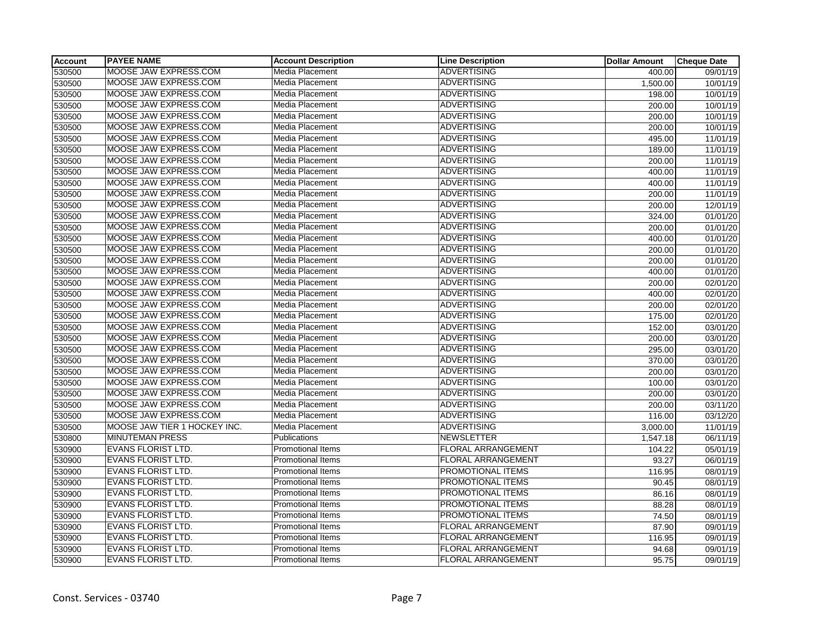| <b>Account</b> | <b>PAYEE NAME</b>            | <b>Account Description</b> | <b>Line Description</b>   | <b>Dollar Amount</b> | <b>Cheque Date</b> |
|----------------|------------------------------|----------------------------|---------------------------|----------------------|--------------------|
| 530500         | MOOSE JAW EXPRESS.COM        | Media Placement            | <b>ADVERTISING</b>        | 400.00               | 09/01/19           |
| 530500         | MOOSE JAW EXPRESS.COM        | Media Placement            | <b>ADVERTISING</b>        | 1,500.00             | 10/01/19           |
| 530500         | MOOSE JAW EXPRESS.COM        | <b>Media Placement</b>     | <b>ADVERTISING</b>        | 198.00               | 10/01/19           |
| 530500         | MOOSE JAW EXPRESS.COM        | Media Placement            | <b>ADVERTISING</b>        | 200.00               | 10/01/19           |
| 530500         | MOOSE JAW EXPRESS.COM        | Media Placement            | <b>ADVERTISING</b>        | 200.00               | 10/01/19           |
| 530500         | MOOSE JAW EXPRESS.COM        | Media Placement            | ADVERTISING               | 200.00               | 10/01/19           |
| 530500         | MOOSE JAW EXPRESS.COM        | Media Placement            | <b>ADVERTISING</b>        | 495.00               | 11/01/19           |
| 530500         | MOOSE JAW EXPRESS.COM        | Media Placement            | ADVERTISING               | 189.00               | 11/01/19           |
| 530500         | MOOSE JAW EXPRESS.COM        | Media Placement            | <b>ADVERTISING</b>        | 200.00               | 11/01/19           |
| 530500         | MOOSE JAW EXPRESS.COM        | Media Placement            | <b>ADVERTISING</b>        | 400.00               | 11/01/19           |
| 530500         | MOOSE JAW EXPRESS.COM        | Media Placement            | <b>ADVERTISING</b>        | 400.00               | 11/01/19           |
| 530500         | MOOSE JAW EXPRESS.COM        | Media Placement            | <b>ADVERTISING</b>        | 200.00               | 11/01/19           |
| 530500         | MOOSE JAW EXPRESS.COM        | Media Placement            | <b>ADVERTISING</b>        | 200.00               | 12/01/19           |
| 530500         | MOOSE JAW EXPRESS.COM        | Media Placement            | ADVERTISING               | 324.00               | 01/01/20           |
| 530500         | MOOSE JAW EXPRESS.COM        | Media Placement            | <b>ADVERTISING</b>        | 200.00               | 01/01/20           |
| 530500         | MOOSE JAW EXPRESS.COM        | Media Placement            | ADVERTISING               | 400.00               | 01/01/20           |
| 530500         | MOOSE JAW EXPRESS.COM        | Media Placement            | <b>ADVERTISING</b>        | 200.00               | 01/01/20           |
| 530500         | MOOSE JAW EXPRESS.COM        | Media Placement            | ADVERTISING               | 200.00               | 01/01/20           |
| 530500         | MOOSE JAW EXPRESS.COM        | Media Placement            | <b>ADVERTISING</b>        | 400.00               | 01/01/20           |
| 530500         | MOOSE JAW EXPRESS.COM        | Media Placement            | <b>ADVERTISING</b>        | 200.00               | 02/01/20           |
| 530500         | MOOSE JAW EXPRESS.COM        | Media Placement            | <b>ADVERTISING</b>        | 400.00               | 02/01/20           |
| 530500         | MOOSE JAW EXPRESS.COM        | Media Placement            | ADVERTISING               | 200.00               | 02/01/20           |
| 530500         | MOOSE JAW EXPRESS.COM        | Media Placement            | <b>ADVERTISING</b>        | 175.00               | 02/01/20           |
| 530500         | MOOSE JAW EXPRESS.COM        | Media Placement            | ADVERTISING               | 152.00               | 03/01/20           |
| 530500         | MOOSE JAW EXPRESS.COM        | Media Placement            | <b>ADVERTISING</b>        | 200.00               | 03/01/20           |
| 530500         | MOOSE JAW EXPRESS.COM        | Media Placement            | <b>ADVERTISING</b>        | 295.00               | 03/01/20           |
| 530500         | MOOSE JAW EXPRESS.COM        | Media Placement            | <b>ADVERTISING</b>        | 370.00               | 03/01/20           |
| 530500         | MOOSE JAW EXPRESS.COM        | Media Placement            | <b>ADVERTISING</b>        | 200.00               | 03/01/20           |
| 530500         | MOOSE JAW EXPRESS.COM        | Media Placement            | <b>ADVERTISING</b>        | 100.00               | 03/01/20           |
| 530500         | MOOSE JAW EXPRESS.COM        | Media Placement            | <b>ADVERTISING</b>        | 200.00               | 03/01/20           |
| 530500         | MOOSE JAW EXPRESS.COM        | Media Placement            | <b>ADVERTISING</b>        | 200.00               | 03/11/20           |
| 530500         | MOOSE JAW EXPRESS.COM        | Media Placement            | ADVERTISING               | 116.00               | 03/12/20           |
| 530500         | MOOSE JAW TIER 1 HOCKEY INC. | Media Placement            | <b>ADVERTISING</b>        | 3,000.00             | 11/01/19           |
| 530800         | <b>MINUTEMAN PRESS</b>       | Publications               | <b>NEWSLETTER</b>         | 1,547.18             | 06/11/19           |
| 530900         | <b>EVANS FLORIST LTD.</b>    | <b>Promotional Items</b>   | <b>FLORAL ARRANGEMENT</b> | 104.22               | 05/01/19           |
| 530900         | <b>EVANS FLORIST LTD.</b>    | <b>Promotional Items</b>   | FLORAL ARRANGEMENT        | 93.27                | 06/01/19           |
| 530900         | <b>EVANS FLORIST LTD.</b>    | <b>Promotional Items</b>   | PROMOTIONAL ITEMS         | 116.95               | 08/01/19           |
| 530900         | <b>EVANS FLORIST LTD.</b>    | <b>Promotional Items</b>   | <b>PROMOTIONAL ITEMS</b>  | 90.45                | 08/01/19           |
| 530900         | <b>EVANS FLORIST LTD.</b>    | Promotional Items          | PROMOTIONAL ITEMS         | 86.16                | 08/01/19           |
| 530900         | EVANS FLORIST LTD.           | <b>Promotional Items</b>   | PROMOTIONAL ITEMS         | 88.28                | 08/01/19           |
| 530900         | <b>EVANS FLORIST LTD.</b>    | <b>Promotional Items</b>   | PROMOTIONAL ITEMS         | 74.50                | 08/01/19           |
| 530900         | <b>EVANS FLORIST LTD.</b>    | Promotional Items          | FLORAL ARRANGEMENT        | 87.90                | 09/01/19           |
| 530900         | <b>EVANS FLORIST LTD.</b>    | <b>Promotional Items</b>   | FLORAL ARRANGEMENT        | 116.95               | 09/01/19           |
| 530900         | <b>EVANS FLORIST LTD.</b>    | <b>Promotional Items</b>   | <b>FLORAL ARRANGEMENT</b> | 94.68                | 09/01/19           |
| 530900         | <b>EVANS FLORIST LTD.</b>    | <b>Promotional Items</b>   | <b>FLORAL ARRANGEMENT</b> | 95.75                | 09/01/19           |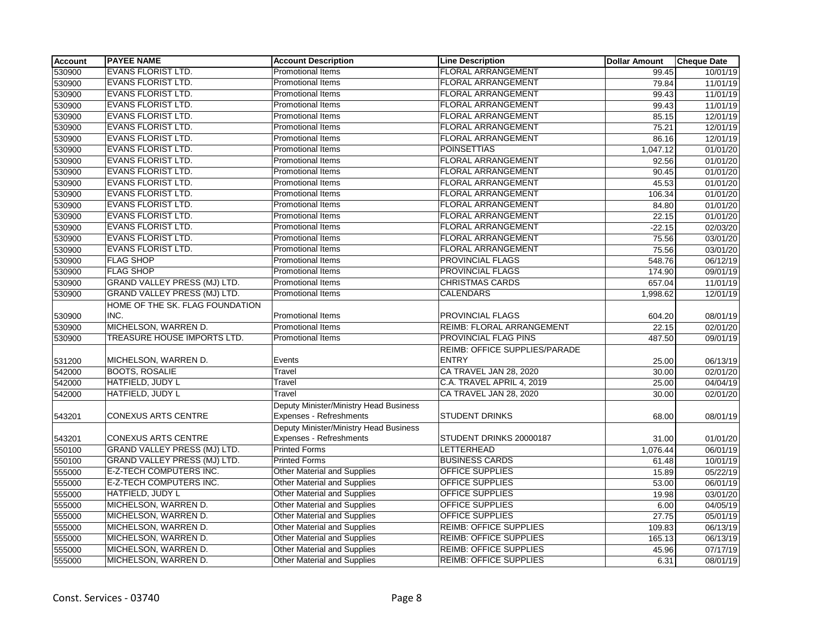| <b>Account</b> | <b>PAYEE NAME</b>                   | <b>Account Description</b>             | <b>Line Description</b>       | <b>Dollar Amount</b> | <b>Cheque Date</b>    |
|----------------|-------------------------------------|----------------------------------------|-------------------------------|----------------------|-----------------------|
| 530900         | <b>EVANS FLORIST LTD.</b>           | Promotional Items                      | <b>FLORAL ARRANGEMENT</b>     | 99.45                | 10/01/19              |
| 530900         | EVANS FLORIST LTD.                  | <b>Promotional Items</b>               | <b>FLORAL ARRANGEMENT</b>     | 79.84                | 11/01/19              |
| 530900         | <b>EVANS FLORIST LTD.</b>           | <b>Promotional Items</b>               | <b>FLORAL ARRANGEMENT</b>     | 99.43                | 11/01/19              |
| 530900         | <b>EVANS FLORIST LTD.</b>           | <b>Promotional Items</b>               | <b>FLORAL ARRANGEMENT</b>     | 99.43                | 11/01/19              |
| 530900         | <b>EVANS FLORIST LTD.</b>           | Promotional Items                      | <b>FLORAL ARRANGEMENT</b>     | 85.15                | 12/01/19              |
| 530900         | <b>EVANS FLORIST LTD.</b>           | Promotional Items                      | <b>FLORAL ARRANGEMENT</b>     | 75.21                | 12/01/19              |
| 530900         | <b>EVANS FLORIST LTD.</b>           | <b>Promotional Items</b>               | <b>FLORAL ARRANGEMENT</b>     | 86.16                | 12/01/19              |
| 530900         | <b>EVANS FLORIST LTD.</b>           | <b>Promotional Items</b>               | <b>POINSETTIAS</b>            | 1,047.12             | 01/01/20              |
| 530900         | <b>EVANS FLORIST LTD.</b>           | Promotional Items                      | <b>FLORAL ARRANGEMENT</b>     | 92.56                | 01/01/20              |
| 530900         | <b>EVANS FLORIST LTD.</b>           | Promotional Items                      | <b>FLORAL ARRANGEMENT</b>     | 90.45                | 01/01/20              |
| 530900         | <b>EVANS FLORIST LTD.</b>           | Promotional Items                      | <b>FLORAL ARRANGEMENT</b>     | 45.53                | 01/01/20              |
| 530900         | <b>EVANS FLORIST LTD.</b>           | <b>Promotional Items</b>               | <b>FLORAL ARRANGEMENT</b>     | 106.34               | 01/01/20              |
| 530900         | <b>EVANS FLORIST LTD.</b>           | Promotional Items                      | <b>FLORAL ARRANGEMENT</b>     | 84.80                | 01/01/20              |
| 530900         | <b>EVANS FLORIST LTD.</b>           | Promotional Items                      | <b>FLORAL ARRANGEMENT</b>     | 22.15                | 01/01/20              |
| 530900         | <b>EVANS FLORIST LTD.</b>           | Promotional Items                      | <b>FLORAL ARRANGEMENT</b>     | $-22.15$             | 02/03/20              |
| 530900         | <b>EVANS FLORIST LTD.</b>           | <b>Promotional Items</b>               | <b>FLORAL ARRANGEMENT</b>     | 75.56                | 03/01/20              |
| 530900         | <b>EVANS FLORIST LTD.</b>           | <b>Promotional Items</b>               | <b>FLORAL ARRANGEMENT</b>     | 75.56                | 03/01/20              |
| 530900         | <b>FLAG SHOP</b>                    | Promotional Items                      | <b>PROVINCIAL FLAGS</b>       | 548.76               | 06/12/19              |
| 530900         | <b>FLAG SHOP</b>                    | <b>Promotional Items</b>               | <b>PROVINCIAL FLAGS</b>       | 174.90               | 09/01/19              |
| 530900         | <b>GRAND VALLEY PRESS (MJ) LTD.</b> | <b>Promotional Items</b>               | <b>CHRISTMAS CARDS</b>        | 657.04               | 11/01/19              |
| 530900         | <b>GRAND VALLEY PRESS (MJ) LTD.</b> | Promotional Items                      | <b>CALENDARS</b>              | 1,998.62             | 12/01/19              |
|                | HOME OF THE SK. FLAG FOUNDATION     |                                        |                               |                      |                       |
| 530900         | INC.                                | <b>Promotional Items</b>               | PROVINCIAL FLAGS              | 604.20               | 08/01/19              |
| 530900         | MICHELSON, WARREN D.                | <b>Promotional Items</b>               | REIMB: FLORAL ARRANGEMENT     | 22.15                | 02/01/20              |
| 530900         | TREASURE HOUSE IMPORTS LTD.         | Promotional Items                      | PROVINCIAL FLAG PINS          | 487.50               | 09/01/19              |
|                |                                     |                                        | REIMB: OFFICE SUPPLIES/PARADE |                      |                       |
| 531200         | MICHELSON, WARREN D.                | Events                                 | <b>ENTRY</b>                  | 25.00                | 06/13/19              |
| 542000         | <b>BOOTS, ROSALIE</b>               | Travel                                 | CA TRAVEL JAN 28, 2020        | 30.00                | 02/01/20              |
| 542000         | HATFIELD, JUDY L                    | Travel                                 | C.A. TRAVEL APRIL 4, 2019     | 25.00                | 04/04/19              |
| 542000         | HATFIELD, JUDY L                    | Travel                                 | CA TRAVEL JAN 28, 2020        | 30.00                | 02/01/20              |
|                |                                     | Deputy Minister/Ministry Head Business |                               |                      |                       |
| 543201         | <b>CONEXUS ARTS CENTRE</b>          | Expenses - Refreshments                | <b>STUDENT DRINKS</b>         | 68.00                | 08/01/19              |
|                |                                     | Deputy Minister/Ministry Head Business |                               |                      |                       |
| 543201         | <b>CONEXUS ARTS CENTRE</b>          | Expenses - Refreshments                | STUDENT DRINKS 20000187       | 31.00                | 01/01/20              |
| 550100         | <b>GRAND VALLEY PRESS (MJ) LTD.</b> | <b>Printed Forms</b>                   | LETTERHEAD                    | 1,076.44             | 06/01/19              |
| 550100         | <b>GRAND VALLEY PRESS (MJ) LTD.</b> | <b>Printed Forms</b>                   | <b>BUSINESS CARDS</b>         | 61.48                | 10/01/19              |
| 555000         | <b>E-Z-TECH COMPUTERS INC.</b>      | Other Material and Supplies            | OFFICE SUPPLIES               | 15.89                | 05/22/19              |
| 555000         | <b>E-Z-TECH COMPUTERS INC.</b>      | Other Material and Supplies            | <b>OFFICE SUPPLIES</b>        | 53.00                | 06/01/19              |
| 555000         | HATFIELD, JUDY L                    | <b>Other Material and Supplies</b>     | OFFICE SUPPLIES               | 19.98                | $\overline{03}/01/20$ |
| 555000         | MICHELSON, WARREN D.                | <b>Other Material and Supplies</b>     | <b>OFFICE SUPPLIES</b>        | 6.00                 | 04/05/19              |
| 555000         | MICHELSON, WARREN D.                | <b>Other Material and Supplies</b>     | <b>OFFICE SUPPLIES</b>        | 27.75                | 05/01/19              |
| 555000         | MICHELSON, WARREN D.                | Other Material and Supplies            | <b>REIMB: OFFICE SUPPLIES</b> | 109.83               | 06/13/19              |
| 555000         | MICHELSON, WARREN D.                | <b>Other Material and Supplies</b>     | <b>REIMB: OFFICE SUPPLIES</b> | 165.13               | 06/13/19              |
| 555000         | MICHELSON, WARREN D.                | <b>Other Material and Supplies</b>     | <b>REIMB: OFFICE SUPPLIES</b> | 45.96                | 07/17/19              |
| 555000         | MICHELSON, WARREN D.                | <b>Other Material and Supplies</b>     | <b>REIMB: OFFICE SUPPLIES</b> | 6.31                 | 08/01/19              |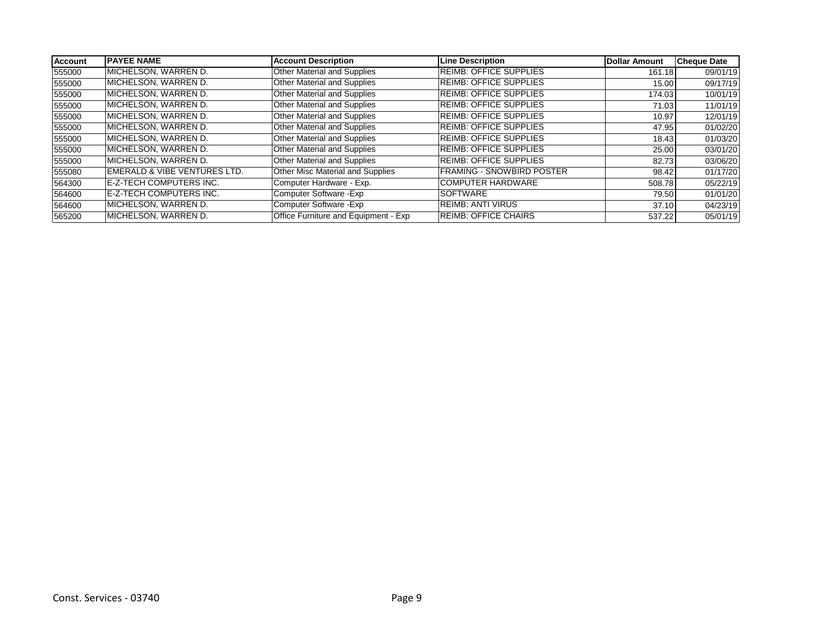| <b>Account</b> | <b>IPAYEE NAME</b>                      | <b>Account Description</b>              | <b>Line Description</b>       | Dollar Amount | <b>Cheque Date</b> |
|----------------|-----------------------------------------|-----------------------------------------|-------------------------------|---------------|--------------------|
| 555000         | MICHELSON, WARREN D.                    | <b>Other Material and Supplies</b>      | <b>REIMB: OFFICE SUPPLIES</b> | 161.18        | 09/01/19           |
| 555000         | MICHELSON, WARREN D.                    | Other Material and Supplies             | <b>REIMB: OFFICE SUPPLIES</b> | 15.00         | 09/17/19           |
| 555000         | MICHELSON, WARREN D.                    | <b>Other Material and Supplies</b>      | <b>REIMB: OFFICE SUPPLIES</b> | 174.03        | 10/01/19           |
| 555000         | MICHELSON, WARREN D.                    | <b>Other Material and Supplies</b>      | <b>REIMB: OFFICE SUPPLIES</b> | 71.03         | 11/01/19           |
| 555000         | IMICHELSON. WARREN D.                   | <b>Other Material and Supplies</b>      | <b>REIMB: OFFICE SUPPLIES</b> | 10.97         | 12/01/19           |
| 555000         | MICHELSON, WARREN D.                    | Other Material and Supplies             | <b>REIMB: OFFICE SUPPLIES</b> | 47.95         | 01/02/20           |
| 555000         | IMICHELSON. WARREN D.                   | Other Material and Supplies             | <b>REIMB: OFFICE SUPPLIES</b> | 18.43         | 01/03/20           |
| 555000         | MICHELSON, WARREN D.                    | <b>Other Material and Supplies</b>      | <b>REIMB: OFFICE SUPPLIES</b> | 25.00         | 03/01/20           |
| 555000         | IMICHELSON. WARREN D.                   | <b>Other Material and Supplies</b>      | <b>REIMB: OFFICE SUPPLIES</b> | 82.73         | 03/06/20           |
| 555080         | <b>EMERALD &amp; VIBE VENTURES LTD.</b> | <b>Other Misc Material and Supplies</b> | FRAMING - SNOWBIRD POSTER     | 98.42         | 01/17/20           |
| 564300         | <b>E-Z-TECH COMPUTERS INC.</b>          | Computer Hardware - Exp.                | <b>COMPUTER HARDWARE</b>      | 508.78        | 05/22/19           |
| 564600         | <b>E-Z-TECH COMPUTERS INC.</b>          | Computer Software - Exp                 | <b>ISOFTWARE</b>              | 79.50         | 01/01/20           |
| 564600         | IMICHELSON. WARREN D.                   | Computer Software - Exp                 | <b>REIMB: ANTI VIRUS</b>      | 37.10         | 04/23/19           |
| 565200         | IMICHELSON. WARREN D.                   | Office Furniture and Equipment - Exp    | <b>REIMB: OFFICE CHAIRS</b>   | 537.22        | 05/01/19           |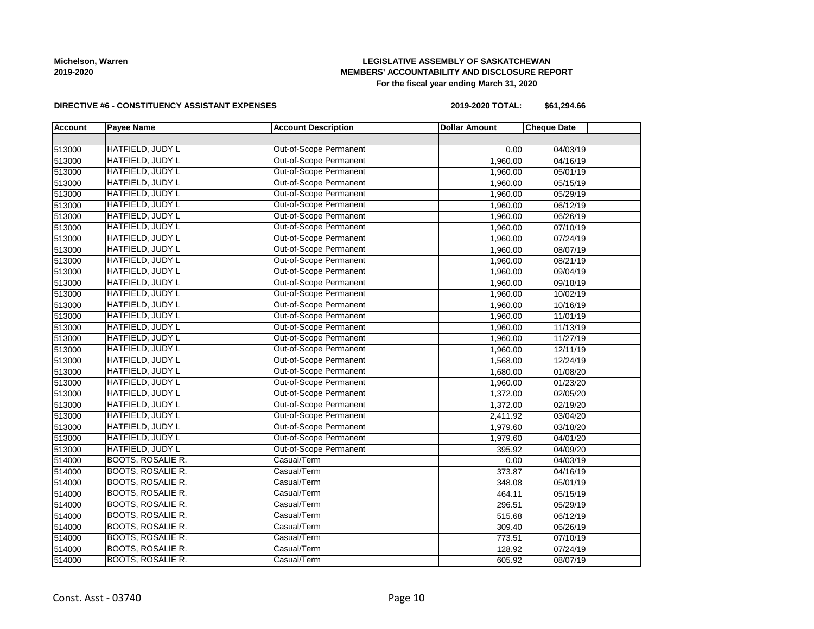# **LEGISLATIVE ASSEMBLY OF SASKATCHEWAN MEMBERS' ACCOUNTABILITY AND DISCLOSURE REPORT For the fiscal year ending March 31, 2020**

### **DIRECTIVE #6 - CONSTITUENCY ASSISTANT EXPENSES**

**2019-2020 TOTAL: \$61,294.66**

| <b>Account</b> | <b>Payee Name</b>        | <b>Account Description</b>    | <b>Dollar Amount</b> | <b>Cheque Date</b> |
|----------------|--------------------------|-------------------------------|----------------------|--------------------|
|                |                          |                               |                      |                    |
| 513000         | HATFIELD, JUDY L         | Out-of-Scope Permanent        | 0.00                 | 04/03/19           |
| 513000         | HATFIELD, JUDY L         | Out-of-Scope Permanent        | 1,960.00             | 04/16/19           |
| 513000         | HATFIELD, JUDY L         | Out-of-Scope Permanent        | 1,960.00             | 05/01/19           |
| 513000         | HATFIELD, JUDY L         | Out-of-Scope Permanent        | 1,960.00             | 05/15/19           |
| 513000         | HATFIELD, JUDY L         | <b>Out-of-Scope Permanent</b> | 1,960.00             | 05/29/19           |
| 513000         | HATFIELD, JUDY L         | Out-of-Scope Permanent        | 1,960.00             | 06/12/19           |
| 513000         | HATFIELD, JUDY L         | Out-of-Scope Permanent        | 1,960.00             | 06/26/19           |
| 513000         | HATFIELD, JUDY L         | Out-of-Scope Permanent        | 1,960.00             | 07/10/19           |
| 513000         | HATFIELD, JUDY L         | Out-of-Scope Permanent        | 1,960.00             | 07/24/19           |
| 513000         | HATFIELD, JUDY L         | Out-of-Scope Permanent        | 1,960.00             | 08/07/19           |
|                | HATFIELD, JUDY L         | Out-of-Scope Permanent        |                      |                    |
| 513000         |                          |                               | 1,960.00             | 08/21/19           |
| 513000         | HATFIELD, JUDY L         | Out-of-Scope Permanent        | 1,960.00             | 09/04/19           |
| 513000         | HATFIELD, JUDY L         | Out-of-Scope Permanent        | 1,960.00             | 09/18/19           |
| 513000         | HATFIELD, JUDY L         | Out-of-Scope Permanent        | 1,960.00             | 10/02/19           |
| 513000         | HATFIELD, JUDY L         | Out-of-Scope Permanent        | 1,960.00             | 10/16/19           |
| 513000         | HATFIELD, JUDY L         | Out-of-Scope Permanent        | 1,960.00             | 11/01/19           |
| 513000         | HATFIELD, JUDY L         | Out-of-Scope Permanent        | 1,960.00             | 11/13/19           |
| 513000         | HATFIELD, JUDY L         | Out-of-Scope Permanent        | 1,960.00             | 11/27/19           |
| 513000         | HATFIELD, JUDY L         | Out-of-Scope Permanent        | 1,960.00             | 12/11/19           |
| 513000         | HATFIELD, JUDY L         | Out-of-Scope Permanent        | 1,568.00             | 12/24/19           |
| 513000         | HATFIELD, JUDY L         | Out-of-Scope Permanent        | 1,680.00             | 01/08/20           |
| 513000         | HATFIELD, JUDY L         | Out-of-Scope Permanent        | 1,960.00             | 01/23/20           |
| 513000         | HATFIELD, JUDY L         | Out-of-Scope Permanent        | 1,372.00             | 02/05/20           |
| 513000         | HATFIELD, JUDY L         | Out-of-Scope Permanent        | 1,372.00             | 02/19/20           |
| 513000         | HATFIELD, JUDY L         | Out-of-Scope Permanent        | 2,411.92             | 03/04/20           |
| 513000         | HATFIELD, JUDY L         | Out-of-Scope Permanent        | 1,979.60             | 03/18/20           |
| 513000         | HATFIELD, JUDY L         | Out-of-Scope Permanent        | 1,979.60             | 04/01/20           |
| 513000         | HATFIELD, JUDY L         | Out-of-Scope Permanent        | 395.92               | 04/09/20           |
| 514000         | <b>BOOTS, ROSALIE R.</b> | Casual/Term                   | 0.00                 | 04/03/19           |
| 514000         | <b>BOOTS, ROSALIE R.</b> | Casual/Term                   | 373.87               | 04/16/19           |
| 514000         | <b>BOOTS, ROSALIE R.</b> | Casual/Term                   | 348.08               | 05/01/19           |
| 514000         | <b>BOOTS, ROSALIE R.</b> | Casual/Term                   | 464.11               | 05/15/19           |
| 514000         | <b>BOOTS, ROSALIE R.</b> | Casual/Term                   | 296.51               | 05/29/19           |
| 514000         | <b>BOOTS, ROSALIE R.</b> | Casual/Term                   | 515.68               | 06/12/19           |
| 514000         | <b>BOOTS, ROSALIE R.</b> | Casual/Term                   | 309.40               | 06/26/19           |
| 514000         | <b>BOOTS, ROSALIE R.</b> | Casual/Term                   | 773.51               | 07/10/19           |
| 514000         | <b>BOOTS, ROSALIE R.</b> | Casual/Term                   | 128.92               | 07/24/19           |
| 514000         | <b>BOOTS, ROSALIE R.</b> | Casual/Term                   | 605.92               | 08/07/19           |